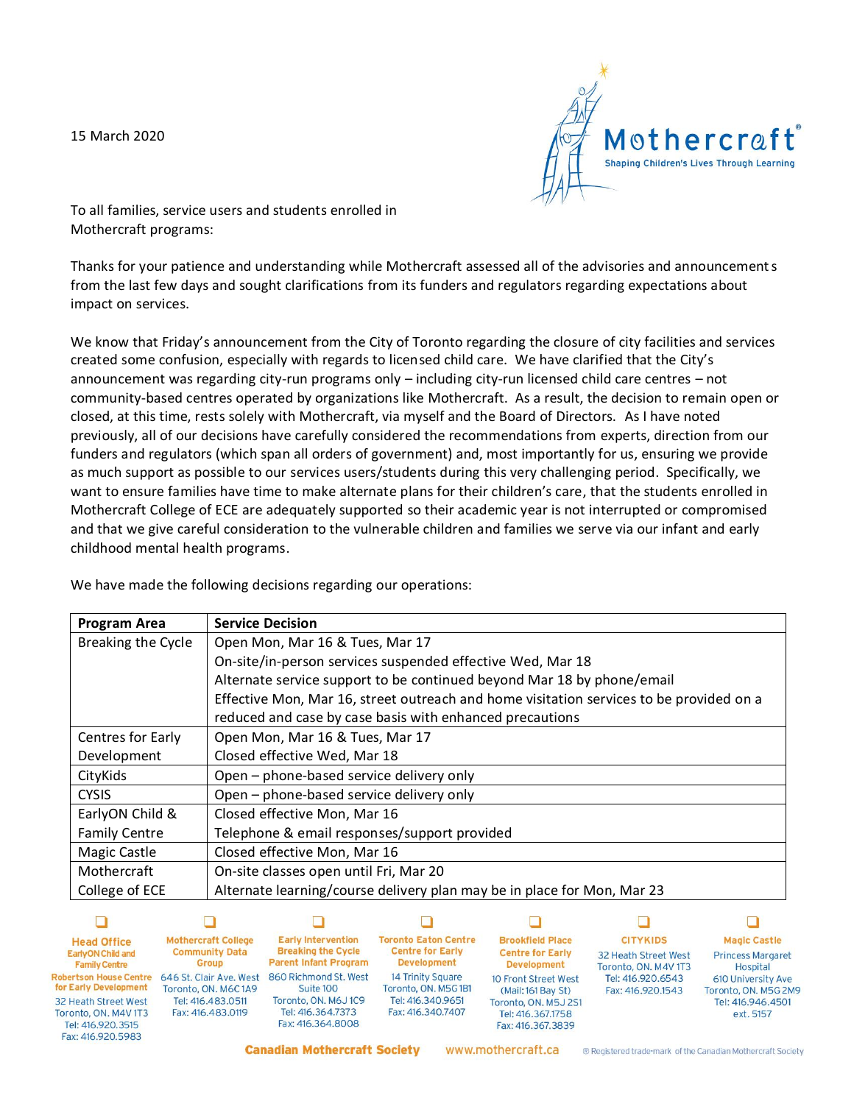15 March 2020



To all families, service users and students enrolled in Mothercraft programs:

Thanks for your patience and understanding while Mothercraft assessed all of the advisories and announcements from the last few days and sought clarifications from its funders and regulators regarding expectations about impact on services.

We know that Friday's announcement from the City of Toronto regarding the closure of city facilities and services created some confusion, especially with regards to licensed child care. We have clarified that the City's announcement was regarding city-run programs only – including city-run licensed child care centres – not community-based centres operated by organizations like Mothercraft. As a result, the decision to remain open or closed, at this time, rests solely with Mothercraft, via myself and the Board of Directors. As I have noted previously, all of our decisions have carefully considered the recommendations from experts, direction from our funders and regulators (which span all orders of government) and, most importantly for us, ensuring we provide as much support as possible to our services users/students during this very challenging period. Specifically, we want to ensure families have time to make alternate plans for their children's care, that the students enrolled in Mothercraft College of ECE are adequately supported so their academic year is not interrupted or compromised and that we give careful consideration to the vulnerable children and families we serve via our infant and early childhood mental health programs.

|  |  |  |  | We have made the following decisions regarding our operations: |
|--|--|--|--|----------------------------------------------------------------|
|  |  |  |  |                                                                |

| <b>Program Area</b>  | <b>Service Decision</b>                                                                 |  |  |  |  |  |
|----------------------|-----------------------------------------------------------------------------------------|--|--|--|--|--|
| Breaking the Cycle   | Open Mon, Mar 16 & Tues, Mar 17                                                         |  |  |  |  |  |
|                      | On-site/in-person services suspended effective Wed, Mar 18                              |  |  |  |  |  |
|                      | Alternate service support to be continued beyond Mar 18 by phone/email                  |  |  |  |  |  |
|                      | Effective Mon, Mar 16, street outreach and home visitation services to be provided on a |  |  |  |  |  |
|                      | reduced and case by case basis with enhanced precautions                                |  |  |  |  |  |
| Centres for Early    | Open Mon, Mar 16 & Tues, Mar 17                                                         |  |  |  |  |  |
| Development          | Closed effective Wed, Mar 18                                                            |  |  |  |  |  |
| CityKids             | Open - phone-based service delivery only                                                |  |  |  |  |  |
| <b>CYSIS</b>         | Open – phone-based service delivery only                                                |  |  |  |  |  |
| EarlyON Child &      | Closed effective Mon, Mar 16                                                            |  |  |  |  |  |
| <b>Family Centre</b> | Telephone & email responses/support provided                                            |  |  |  |  |  |
| <b>Magic Castle</b>  | Closed effective Mon, Mar 16                                                            |  |  |  |  |  |
| Mothercraft          | On-site classes open until Fri, Mar 20                                                  |  |  |  |  |  |
| College of ECE       | Alternate learning/course delivery plan may be in place for Mon, Mar 23                 |  |  |  |  |  |

| <b>Head Office</b>                                                                            | <b>Mothercraft College</b>             | <b>Early Intervention</b>                                     | <b>Toronto Eaton Centre</b>            | <b>Brookfield Place</b>                                        | <b>CITYKIDS</b>      | <b>Magic Castle</b>            |
|-----------------------------------------------------------------------------------------------|----------------------------------------|---------------------------------------------------------------|----------------------------------------|----------------------------------------------------------------|----------------------|--------------------------------|
| <b>EarlyON Child and</b>                                                                      | <b>Community Data</b>                  | <b>Breaking the Cycle</b>                                     | <b>Centre for Early</b>                | <b>Centre for Early</b>                                        | 32 Heath Street West | <b>Princess Margaret</b>       |
| <b>Family Centre</b>                                                                          | <b>Group</b>                           | <b>Parent Infant Program</b>                                  | <b>Development</b>                     | <b>Development</b>                                             | Toronto, ON, M4V 1T3 | Hospital                       |
| obertson House Centre                                                                         | 646 St. Clair Ave. West                | 860 Richmond St. West                                         | 14 Trinity Square                      | 10 Front Street West                                           | Tel: 416.920.6543    | 610 University Ave             |
| or Early Development                                                                          | Toronto, ON, M6C1A9                    | Suite 100                                                     | Toronto, ON. M5G1B1                    | (Mail: 161 Bay St)                                             | Fax: 416.920.1543    | Toronto, ON, M5G 2M9           |
| <b>32 Heath Street West</b><br>Toronto, ON, M4V 1T3<br>Tel: 416.920.3515<br>Fax: 416.920.5983 | Tel: 416,483,0511<br>Fax: 416.483.0119 | Toronto, ON, M6J1C9<br>Tel: 416.364.7373<br>Fax: 416,364,8008 | Tel: 416.340.9651<br>Fax: 416.340.7407 | Toronto, ON. M5J 2S1<br>Tel: 416.367.1758<br>Fax: 416.367.3839 |                      | Tel: 416.946.4501<br>ext. 5157 |

www.mothercraft.ca

® Registered trade-mark of the Canadian Mothercraft Society

**Canadian Mothercraft Society**